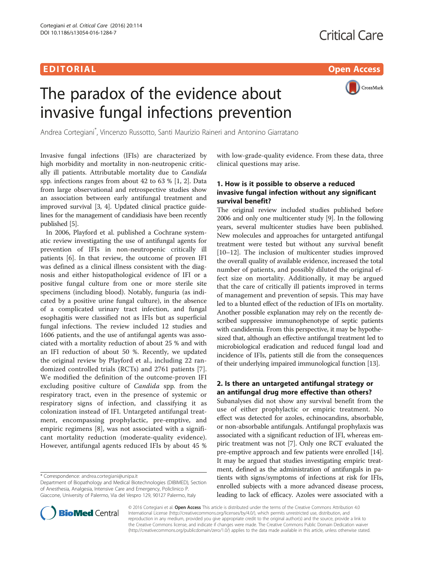# EDI TORIA L Open Access



# The paradox of the evidence about invasive fungal infections prevention

Andrea Cortegiani\* , Vincenzo Russotto, Santi Maurizio Raineri and Antonino Giarratano

Invasive fungal infections (IFIs) are characterized by high morbidity and mortality in non-neutropenic critically ill patients. Attributable mortality due to Candida spp. infections ranges from about 42 to 63 % [[1, 2](#page-1-0)]. Data from large observational and retrospective studies show an association between early antifungal treatment and improved survival [\[3, 4\]](#page-1-0). Updated clinical practice guidelines for the management of candidiasis have been recently published [\[5](#page-1-0)].

In 2006, Playford et al. published a Cochrane systematic review investigating the use of antifungal agents for prevention of IFIs in non-neutropenic critically ill patients [\[6](#page-1-0)]. In that review, the outcome of proven IFI was defined as a clinical illness consistent with the diagnosis and either histopathological evidence of IFI or a positive fungal culture from one or more sterile site specimens (including blood). Notably, funguria (as indicated by a positive urine fungal culture), in the absence of a complicated urinary tract infection, and fungal esophagitis were classified not as IFIs but as superficial fungal infections. The review included 12 studies and 1606 patients, and the use of antifungal agents was associated with a mortality reduction of about 25 % and with an IFI reduction of about 50 %. Recently, we updated the original review by Playford et al., including 22 randomized controlled trials (RCTs) and 2761 patients [[7](#page-1-0)]. We modified the definition of the outcome-proven IFI excluding positive culture of Candida spp. from the respiratory tract, even in the presence of systemic or respiratory signs of infection, and classifying it as colonization instead of IFI. Untargeted antifungal treatment, encompassing prophylactic, pre-emptive, and empiric regimens [\[8](#page-1-0)], was not associated with a significant mortality reduction (moderate-quality evidence). However, antifungal agents reduced IFIs by about 45 %

\* Correspondence: [andrea.cortegiani@unipa.it](mailto:andrea.cortegiani@unipa.it)

Department of Biopathology and Medical Biotechnologies (DIBIMED), Section of Anesthesia, Analgesia, Intensive Care and Emergency, Policlinico P. Giaccone, University of Palermo, Via del Vespro 129, 90127 Palermo, Italy



# 1. How is it possible to observe a reduced invasive fungal infection without any significant survival benefit?

The original review included studies published before 2006 and only one multicenter study [[9\]](#page-1-0). In the following years, several multicenter studies have been published. New molecules and approaches for untargeted antifungal treatment were tested but without any survival benefit [[10](#page-1-0)–[12\]](#page-1-0). The inclusion of multicenter studies improved the overall quality of available evidence, increased the total number of patients, and possibly diluted the original effect size on mortality. Additionally, it may be argued that the care of critically ill patients improved in terms of management and prevention of sepsis. This may have led to a blunted effect of the reduction of IFIs on mortality. Another possible explanation may rely on the recently described suppressive immunophenotype of septic patients with candidemia. From this perspective, it may be hypothesized that, although an effective antifungal treatment led to microbiological eradication and reduced fungal load and incidence of IFIs, patients still die from the consequences of their underlying impaired immunological function [\[13](#page-1-0)].

# 2. Is there an untargeted antifungal strategy or an antifungal drug more effective than others?

Subanalyses did not show any survival benefit from the use of either prophylactic or empiric treatment. No effect was detected for azoles, echinocandins, absorbable, or non-absorbable antifungals. Antifungal prophylaxis was associated with a significant reduction of IFI, whereas empiric treatment was not [\[7](#page-1-0)]. Only one RCT evaluated the pre-emptive approach and few patients were enrolled [[14](#page-1-0)]. It may be argued that studies investigating empiric treatment, defined as the administration of antifungals in patients with signs/symptoms of infections at risk for IFIs, enrolled subjects with a more advanced disease process, leading to lack of efficacy. Azoles were associated with a



© 2016 Cortegiani et al. Open Access This article is distributed under the terms of the Creative Commons Attribution 4.0 International License [\(http://creativecommons.org/licenses/by/4.0/](http://creativecommons.org/licenses/by/4.0/)), which permits unrestricted use, distribution, and reproduction in any medium, provided you give appropriate credit to the original author(s) and the source, provide a link to the Creative Commons license, and indicate if changes were made. The Creative Commons Public Domain Dedication waiver [\(http://creativecommons.org/publicdomain/zero/1.0/](http://creativecommons.org/publicdomain/zero/1.0/)) applies to the data made available in this article, unless otherwise stated.